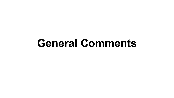## **General Comments**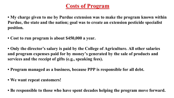#### **Costs of Program**

- **My charge given to me by Purdue extension was to make the program known within Purdue, the state and the nation; goal was to create an extension pesticide specialist position.**
- **Cost to run program is about \$450,000 a year.**
- **Only the director's salary is paid by the College of Agriculture. All other salaries and program expenses paid for by money's generated by the sale of products and services and the receipt of gifts (e.g., speaking fees).**
- **Program managed as a business, because PPP is responsible for all debt.**
- **We want repeat customers!**
- **Be responsible to those who have spent decades helping the program move forward.**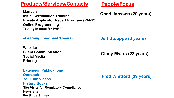**Products/Services/Contacts People/Focus** 

**Manuals Initial Certification Training Private Applicator Recert Program (PARP) Online Programming Testing in state for PARP**

**eLearning (new past 3 years)**

**Website Client Communication Social Media Printing** 

**Extension Publications Outreach YouTube Videos History Books Site Visits for Regulatory Compliance Newsletter Pesticide Survey**

**Cheri Janssen (20 years)**

**Jeff Stouppe (3 years)**

**Cindy Myers (23 years)**

**Fred Whitford (29 years)**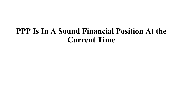## **PPP Is In A Sound Financial Position At the Current Time**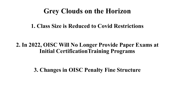### **Grey Clouds on the Horizon**

#### **1. Class Size is Reduced to Covid Restrictions**

#### **2. In 2022, OISC Will No Longer Provide Paper Exams at Initial CertificationTraining Programs**

**3. Changes in OISC Penalty Fine Structure**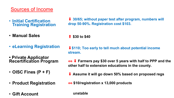#### Sources of Income

- **Initial Certification Training Registration**
- **Manual Sales**
- **eLearning Registration**
- **Private Applicator Recertification Program**
- **OISC Fines (P + F)**
- **Product Registration**
- **Gift Account**

↓ 30/65; without paper test after program, numbers will **drop 50-90%. Registration cost \$103.**

⬆ **\$30 to \$40**

↓ \$110; Too early to tell much about potential income **stream.** 

⟺ ⬇ **Farmers pay \$30 over 5 years with half to PPP and the other half to extension educations in the county.**

- ↓ Assume it will go down 50% based on proposed regs
- ⟺ **\$10/registration x 13,000 products**

**unstable**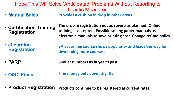|                       | Hope This Will Solve 'Anticipated' Problems Without Resorting to |
|-----------------------|------------------------------------------------------------------|
|                       | <b>Drastic Measures</b>                                          |
| <b>• Manual Sales</b> | Provides a cushion in drop in other areas                        |

- **Certification Training Registration**
- **The drop in registration not as severe as planned. Online training is accepted. Possible selling paper manuals as electronic manuals to save printing cost. Change refund policy.**

• **eLearning Registration 3A eLearning course shows popularity and leads the way for developing more courses.**

- **PARP Similar numbers as in year's past**
- **OISC Fines**

**Fine money only down slightly**

• **Product Registration Products continue to be registered at current rates**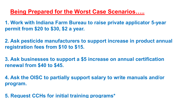#### **Being Prepared for the Worst Case Scenarios…..**

**1. Work with Indiana Farm Bureau to raise private applicator 5-year permit from \$20 to \$30, \$2 a year.** 

**2. Ask pesticide manufacturers to support increase in product annual registration fees from \$10 to \$15.**

**3. Ask businesses to support a \$5 increase on annual certification renewal from \$40 to \$45.**

**4. Ask the OISC to partially support salary to write manuals and/or program.**

**5. Request CCHs for initial training programs\***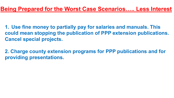#### **Being Prepared for the Worst Case Scenarios….. Less Interest**

**1. Use fine money to partially pay for salaries and manuals. This could mean stopping the publication of PPP extension publications. Cancel special projects.**

**2. Charge county extension programs for PPP publications and for providing presentations.**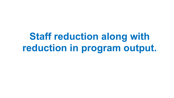# **Staff reduction along with reduction in program output.**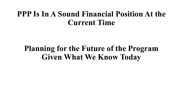## **PPP Is In A Sound Financial Position At the Current Time**

## **Planning for the Future of the Program Given What We Know Today**